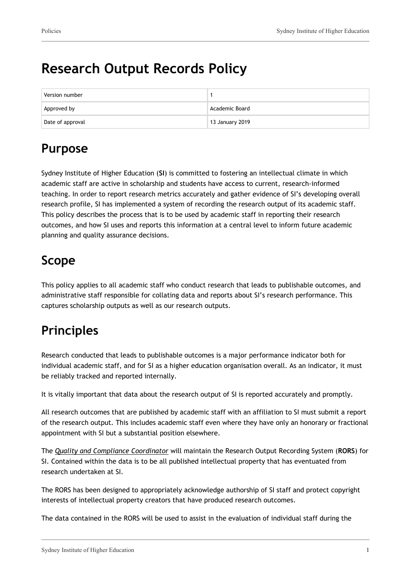# **Research Output Records Policy**

| Version number   |                 |
|------------------|-----------------|
| Approved by      | Academic Board  |
| Date of approval | 13 January 2019 |

# **Purpose**

Sydney Institute of Higher Education (**SI**) is committed to fostering an intellectual climate in which academic staff are active in scholarship and students have access to current, research-informed teaching. In order to report research metrics accurately and gather evidence of SI's developing overall research profile, SI has implemented a system of recording the research output of its academic staff. This policy describes the process that is to be used by academic staff in reporting their research outcomes, and how SI uses and reports this information at a central level to inform future academic planning and quality assurance decisions.

## **Scope**

This policy applies to all academic staff who conduct research that leads to publishable outcomes, and administrative staff responsible for collating data and reports about SI's research performance. This captures scholarship outputs as well as our research outputs.

# **Principles**

Research conducted that leads to publishable outcomes is a major performance indicator both for individual academic staff, and for SI as a higher education organisation overall. As an indicator, it must be reliably tracked and reported internally.

It is vitally important that data about the research output of SI is reported accurately and promptly.

All research outcomes that are published by academic staff with an affiliation to SI must submit a report of the research output. This includes academic staff even where they have only an honorary or fractional appointment with SI but a substantial position elsewhere.

The *Quality and Compliance Coordinator* will maintain the Research Output Recording System (**RORS**) for SI. Contained within the data is to be all published intellectual property that has eventuated from research undertaken at SI.

The RORS has been designed to appropriately acknowledge authorship of SI staff and protect copyright interests of intellectual property creators that have produced research outcomes.

The data contained in the RORS will be used to assist in the evaluation of individual staff during the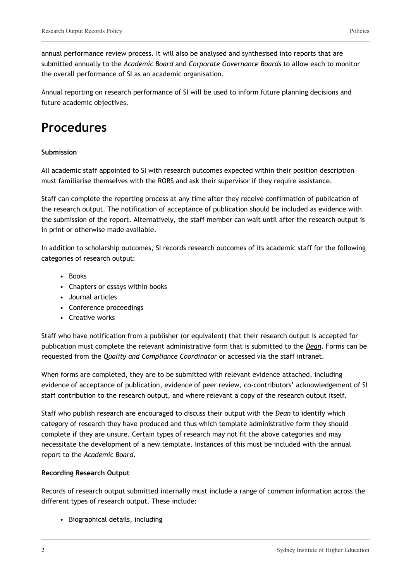annual performance review process. It will also be analysed and synthesised into reports that are submitted annually to the *Academic Board* and *Corporate Governance Boards* to allow each to monitor the overall performance of SI as an academic organisation.

Annual reporting on research performance of SI will be used to inform future planning decisions and future academic objectives.

### **Procedures**

### **Submission**

All academic staff appointed to SI with research outcomes expected within their position description must familiarise themselves with the RORS and ask their supervisor if they require assistance.

Staff can complete the reporting process at any time after they receive confirmation of publication of the research output. The notification of acceptance of publication should be included as evidence with the submission of the report. Alternatively, the staff member can wait until after the research output is in print or otherwise made available.

In addition to scholarship outcomes, SI records research outcomes of its academic staff for the following categories of research output:

- Books
- Chapters or essays within books
- Journal articles
- Conference proceedings
- Creative works

Staff who have notification from a publisher (or equivalent) that their research output is accepted for publication must complete the relevant administrative form that is submitted to the *Dean*. Forms can be requested from the *Quality and Compliance Coordinator* or accessed via the staff intranet.

When forms are completed, they are to be submitted with relevant evidence attached, including evidence of acceptance of publication, evidence of peer review, co-contributors' acknowledgement of SI staff contribution to the research output, and where relevant a copy of the research output itself.

Staff who publish research are encouraged to discuss their output with the *Dean* to identify which category of research they have produced and thus which template administrative form they should complete if they are unsure. Certain types of research may not fit the above categories and may necessitate the development of a new template. Instances of this must be included with the annual report to the *Academic Board*.

#### **Recording Research Output**

Records of research output submitted internally must include a range of common information across the different types of research output. These include:

• Biographical details, including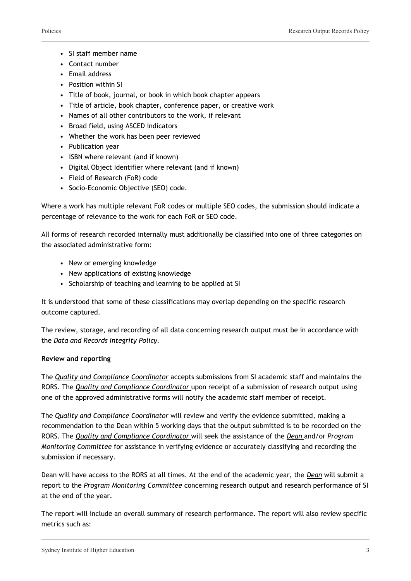- SI staff member name
- Contact number
- Email address
- Position within SI
- Title of book, journal, or book in which book chapter appears
- Title of article, book chapter, conference paper, or creative work
- Names of all other contributors to the work, if relevant
- Broad field, using ASCED indicators
- Whether the work has been peer reviewed
- Publication year
- ISBN where relevant (and if known)
- Digital Object Identifier where relevant (and if known)
- Field of Research (FoR) code
- Socio-Economic Objective (SEO) code.

Where a work has multiple relevant FoR codes or multiple SEO codes, the submission should indicate a percentage of relevance to the work for each FoR or SEO code.

All forms of research recorded internally must additionally be classified into one of three categories on the associated administrative form:

- New or emerging knowledge
- New applications of existing knowledge
- Scholarship of teaching and learning to be applied at SI

It is understood that some of these classifications may overlap depending on the specific research outcome captured.

The review, storage, and recording of all data concerning research output must be in accordance with the *Data and Records Integrity Policy.*

### **Review and reporting**

The *Quality and Compliance Coordinator* accepts submissions from SI academic staff and maintains the RORS. The *Quality and Compliance Coordinator* upon receipt of a submission of research output using one of the approved administrative forms will notify the academic staff member of receipt.

The *Quality and Compliance Coordinator* will review and verify the evidence submitted, making a recommendation to the Dean within 5 working days that the output submitted is to be recorded on the RORS. The *Quality and Compliance Coordinator* will seek the assistance of the *Dean* and/or *Program Monitoring Committee* for assistance in verifying evidence or accurately classifying and recording the submission if necessary.

Dean will have access to the RORS at all times. At the end of the academic year, the *Dean* will submit a report to the *Program Monitoring Committee* concerning research output and research performance of SI at the end of the year.

The report will include an overall summary of research performance. The report will also review specific metrics such as: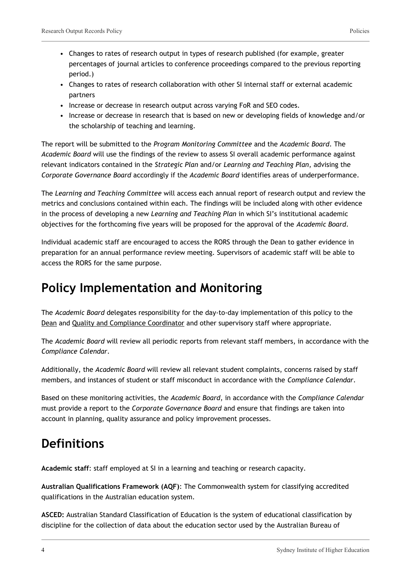- Changes to rates of research output in types of research published (for example, greater percentages of journal articles to conference proceedings compared to the previous reporting period.)
- Changes to rates of research collaboration with other SI internal staff or external academic partners
- Increase or decrease in research output across varying FoR and SEO codes.
- Increase or decrease in research that is based on new or developing fields of knowledge and/or the scholarship of teaching and learning.

The report will be submitted to the *Program Monitoring Committee* and the *Academic Board*. The *Academic Board* will use the findings of the review to assess SI overall academic performance against relevant indicators contained in the *Strategic Plan* and/or *Learning and Teaching Plan*, advising the *Corporate Governance Board* accordingly if the *Academic Board* identifies areas of underperformance.

The *Learning and Teaching Committee* will access each annual report of research output and review the metrics and conclusions contained within each. The findings will be included along with other evidence in the process of developing a new *Learning and Teaching Plan* in which SI's institutional academic objectives for the forthcoming five years will be proposed for the approval of the *Academic Board*.

Individual academic staff are encouraged to access the RORS through the Dean to gather evidence in preparation for an annual performance review meeting. Supervisors of academic staff will be able to access the RORS for the same purpose.

# **Policy Implementation and Monitoring**

The *Academic Board* delegates responsibility for the day-to-day implementation of this policy to the Dean and Quality and Compliance Coordinator and other supervisory staff where appropriate.

The *Academic Board* will review all periodic reports from relevant staff members, in accordance with the *Compliance Calendar*.

Additionally, the *Academic Board* will review all relevant student complaints, concerns raised by staff members, and instances of student or staff misconduct in accordance with the *Compliance Calendar*.

Based on these monitoring activities, the *Academic Board*, in accordance with the *Compliance Calendar* must provide a report to the *Corporate Governance Board* and ensure that findings are taken into account in planning, quality assurance and policy improvement processes.

## **Definitions**

**Academic staff**: staff employed at SI in a learning and teaching or research capacity.

**Australian Qualifications Framework (AQF)**: The Commonwealth system for classifying accredited qualifications in the Australian education system.

**ASCED:** Australian Standard Classification of Education is the system of educational classification by discipline for the collection of data about the education sector used by the Australian Bureau of